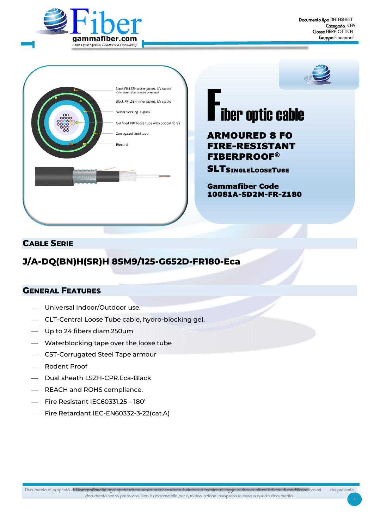





# **F**iber optic cable

# ARMOURED 8 FO FIRE-RESISTANT FIBERPROOF®

**SLTSINGLELOOSETUBE** 

Gammafiber Code 10081A-SD2M-FR-Z180

### **CABLE SERIE**

# **J/A-DQ(BN)H(SR)H 8SM9/125-G652D-FR180-Eca**

#### **GENERAL FEATURES**

- ⎯ Universal Indoor/Outdoor use.
- ⎯ CLT-Central Loose Tube cable, hydro-blocking gel.
- $-$  Up to 24 fibers diam.250 $\mu$ m
- ⎯ Waterblocking tape over the loose tube
- ⎯ CST-Corrugated Steel Tape armour
- Rodent Proof
- ⎯ Dual sheath LSZH-CPR.Eca-Black
- ⎯ REACH and ROHS compliance.
- ⎯ Fire Resistant IEC60331.25 180'
- Fire Retardant IEC-EN60332-3-22(cat.A)